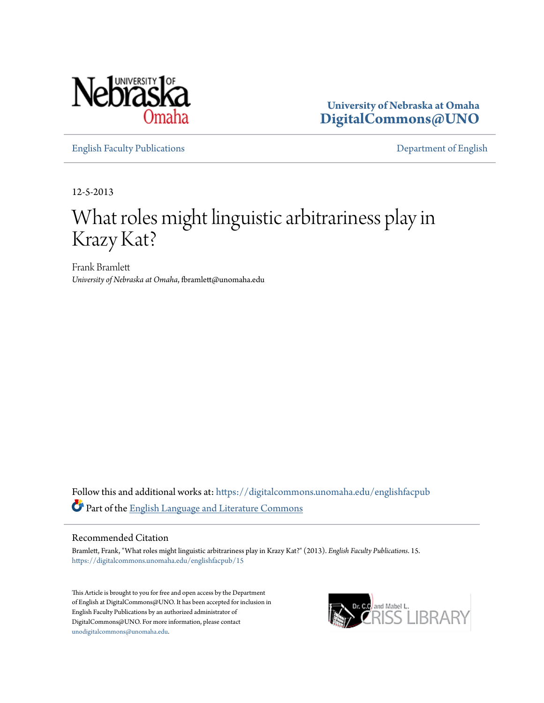

**University of Nebraska at Omaha [DigitalCommons@UNO](https://digitalcommons.unomaha.edu?utm_source=digitalcommons.unomaha.edu%2Fenglishfacpub%2F15&utm_medium=PDF&utm_campaign=PDFCoverPages)**

[English Faculty Publications](https://digitalcommons.unomaha.edu/englishfacpub?utm_source=digitalcommons.unomaha.edu%2Fenglishfacpub%2F15&utm_medium=PDF&utm_campaign=PDFCoverPages) [Department of English](https://digitalcommons.unomaha.edu/english?utm_source=digitalcommons.unomaha.edu%2Fenglishfacpub%2F15&utm_medium=PDF&utm_campaign=PDFCoverPages)

12-5-2013

## What roles might linguistic arbitrariness play in Krazy Kat?

Frank Bramlett *University of Nebraska at Omaha*, fbramlett@unomaha.edu

Follow this and additional works at: [https://digitalcommons.unomaha.edu/englishfacpub](https://digitalcommons.unomaha.edu/englishfacpub?utm_source=digitalcommons.unomaha.edu%2Fenglishfacpub%2F15&utm_medium=PDF&utm_campaign=PDFCoverPages) Part of the [English Language and Literature Commons](http://network.bepress.com/hgg/discipline/455?utm_source=digitalcommons.unomaha.edu%2Fenglishfacpub%2F15&utm_medium=PDF&utm_campaign=PDFCoverPages)

#### Recommended Citation

Bramlett, Frank, "What roles might linguistic arbitrariness play in Krazy Kat?" (2013). *English Faculty Publications*. 15. [https://digitalcommons.unomaha.edu/englishfacpub/15](https://digitalcommons.unomaha.edu/englishfacpub/15?utm_source=digitalcommons.unomaha.edu%2Fenglishfacpub%2F15&utm_medium=PDF&utm_campaign=PDFCoverPages)

This Article is brought to you for free and open access by the Department of English at DigitalCommons@UNO. It has been accepted for inclusion in English Faculty Publications by an authorized administrator of DigitalCommons@UNO. For more information, please contact [unodigitalcommons@unomaha.edu](mailto:unodigitalcommons@unomaha.edu).

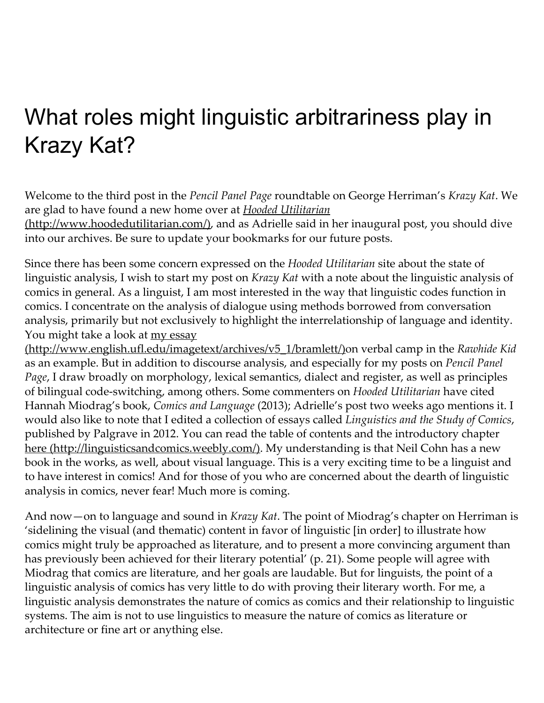# What roles might linguistic arbitrariness play in Krazy Kat?

Welcome to the third post in the Pencil Panel Page roundtable on George Herriman's Krazy Kat. We are glad to have found a new home over at **Hooded Utilitarian** 

[\(http://www.hoodedutilitarian.com/\),](http://www.hoodedutilitarian.com/) and as Adrielle said in her inaugural post, you should dive into our archives. Be sure to update your bookmarks for our future posts.

Since there has been some concern expressed on the Hooded Utilitarian site about the state of linguistic analysis, I wish to start my post on Krazy Kat with a note about the linguistic analysis of comics in general. As a linguist, I am most interested in the way that linguistic codes function in comics. I concentrate on the analysis of dialogue using methods borrowed from conversation analysis, primarily but not exclusively to highlight the interrelationship of language and identity. You might take a look at my essay

[\(http://www.english.ufl.edu/imagetext/archives/v5\\_1/bramlett/\)o](http://www.english.ufl.edu/imagetext/archives/v5_1/bramlett/)n verbal camp in the Rawhide Kid as an example. But in addition to discourse analysis, and especially for my posts on Pencil Panel Page, I draw broadly on morphology, lexical semantics, dialect and register, as well as principles of bilingual code-switching, among others. Some commenters on Hooded Utilitarian have cited Hannah Miodrag's book, Comics and Language (2013); Adrielle's post two weeks ago mentions it. I would also like to note that I edited a collection of essays called Linguistics and the Study of Comics, published by Palgrave in 2012. You can read the table of contents and the introductory chapter here [\(http://linguisticsandcomics.weebly.com/\)](http://linguisticsandcomics.weebly.com/). My understanding is that Neil Cohn has a new book in the works, as well, about visual language. This is a very exciting time to be a linguist and to have interest in comics! And for those of you who are concerned about the dearth of linguistic analysis in comics, never fear! Much more is coming.

And now—on to language and sound in *Krazy Kat*. The point of Miodrag's chapter on Herriman is 'sidelining the visual (and thematic) content in favor of linguistic [in order] to illustrate how comics might truly be approached as literature, and to present a more convincing argument than has previously been achieved for their literary potential' (p. 21). Some people will agree with Miodrag that comics are literature, and her goals are laudable. But for linguists, the point of a linguistic analysis of comics has very little to do with proving their literary worth. For me, a linguistic analysis demonstrates the nature of comics as comics and their relationship to linguistic systems. The aim is not to use linguistics to measure the nature of comics as literature or architecture or fine art or anything else.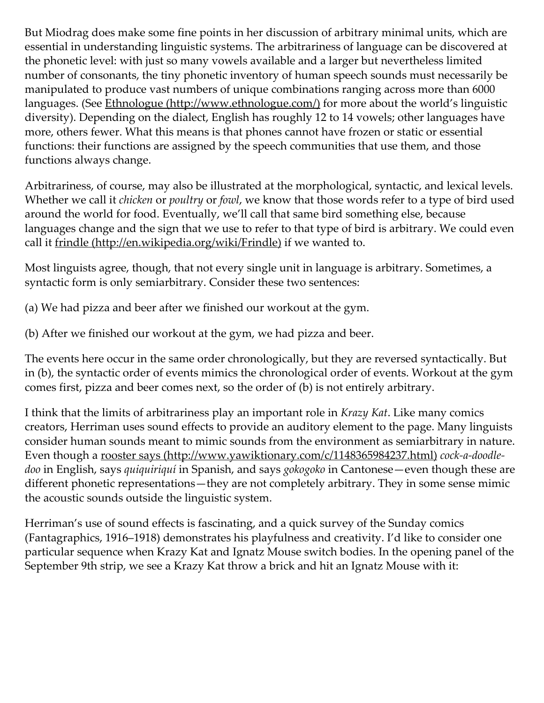But Miodrag does make some fine points in her discussion of arbitrary minimal units, which are essential in understanding linguistic systems. The arbitrariness of language can be discovered at the phonetic level: with just so many vowels available and a larger but nevertheless limited number of consonants, the tiny phonetic inventory of human speech sounds must necessarily be manipulated to produce vast numbers of unique combinations ranging across more than 6000 languages. (See Ethnologue [\(http://www.ethnologue.com/\)](http://www.ethnologue.com/) for more about the world's linguistic diversity). Depending on the dialect, English has roughly 12 to 14 vowels; other languages have more, others fewer. What this means is that phones cannot have frozen or static or essential functions: their functions are assigned by the speech communities that use them, and those functions always change.

Arbitrariness, of course, may also be illustrated at the morphological, syntactic, and lexical levels. Whether we call it *chicken* or *poultry* or *fowl*, we know that those words refer to a type of bird used around the world for food. Eventually, we'll call that same bird something else, because languages change and the sign that we use to refer to that type of bird is arbitrary. We could even call it frindle [\(http://en.wikipedia.org/wiki/Frindle\)](http://en.wikipedia.org/wiki/Frindle) if we wanted to.

Most linguists agree, though, that not every single unit in language is arbitrary. Sometimes, a syntactic form is only semiarbitrary. Consider these two sentences:

(a) We had pizza and beer after we finished our workout at the gym.

(b) After we finished our workout at the gym, we had pizza and beer.

The events here occur in the same order chronologically, but they are reversed syntactically. But in (b), the syntactic order of events mimics the chronological order of events. Workout at the gym comes first, pizza and beer comes next, so the order of (b) is not entirely arbitrary.

I think that the limits of arbitrariness play an important role in Krazy Kat. Like many comics creators, Herriman uses sound effects to provide an auditory element to the page. Many linguists consider human sounds meant to mimic sounds from the environment as semiarbitrary in nature. Even though a rooster says [\(http://www.yawiktionary.com/c/1148365984237.html\)](http://www.yawiktionary.com/c/1148365984237.html) cock-a-doodledoo in English, says quiquiriquí in Spanish, and says gokogoko in Cantonese—even though these are different phonetic representations—they are not completely arbitrary. They in some sense mimic the acoustic sounds outside the linguistic system.

Herriman's use of sound effects is fascinating, and a quick survey of the Sunday comics (Fantagraphics, 1916–1918) demonstrates his playfulness and creativity. I'd like to consider one particular sequence when Krazy Kat and Ignatz Mouse switch bodies. In the opening panel of the September 9th strip, we see a Krazy Kat throw a brick and hit an Ignatz Mouse with it: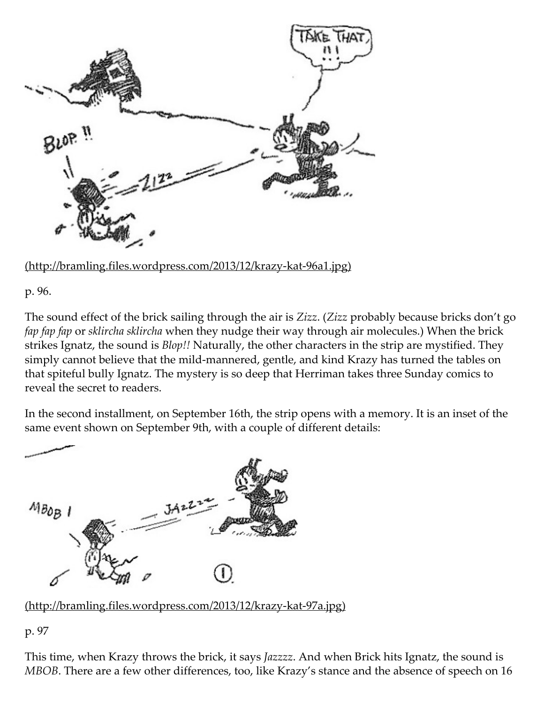

[\(http://bramling.files.wordpress.com/2013/12/krazy‑kat‑96a1.jpg\)](http://bramling.files.wordpress.com/2013/12/krazy-kat-96a1.jpg)

p. 96.

The sound effect of the brick sailing through the air is Zizz. (Zizz probably because bricks don't go fap fap fap or sklircha sklircha when they nudge their way through air molecules.) When the brick strikes Ignatz, the sound is *Blop!!* Naturally, the other characters in the strip are mystified. They simply cannot believe that the mild-mannered, gentle, and kind Krazy has turned the tables on that spiteful bully Ignatz. The mystery is so deep that Herriman takes three Sunday comics to reveal the secret to readers.

In the second installment, on September 16th, the strip opens with a memory. It is an inset of the same event shown on September 9th, with a couple of different details:



[\(http://bramling.files.wordpress.com/2013/12/krazy‑kat‑97a.jpg\)](http://bramling.files.wordpress.com/2013/12/krazy-kat-97a.jpg)

p. 97

This time, when Krazy throws the brick, it says Jazzzz. And when Brick hits Ignatz, the sound is MBOB. There are a few other differences, too, like Krazy's stance and the absence of speech on 16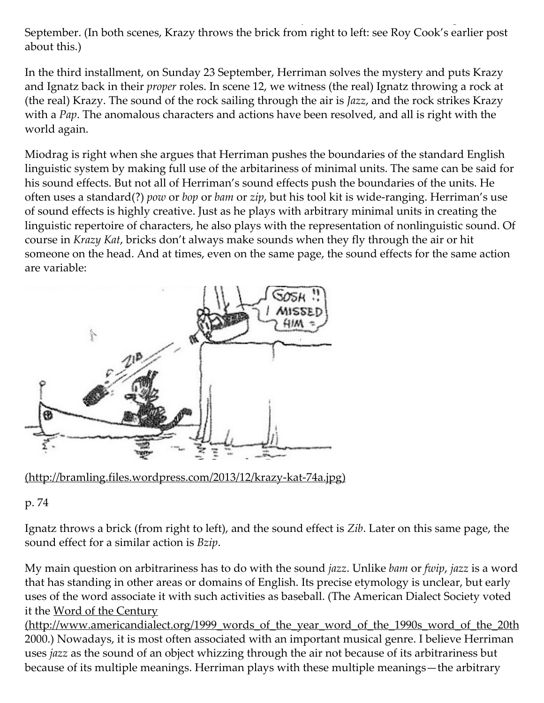September. (In both scenes, Krazy throws the brick from right to left: see Roy Cook's earlier post about this.)

In the third installment, on Sunday 23 September, Herriman solves the mystery and puts Krazy and Ignatz back in their proper roles. In scene 12, we witness (the real) Ignatz throwing a rock at (the real) Krazy. The sound of the rock sailing through the air is Jazz, and the rock strikes Krazy with a Pap. The anomalous characters and actions have been resolved, and all is right with the world again.

Miodrag is right when she argues that Herriman pushes the boundaries of the standard English linguistic system by making full use of the arbitariness of minimal units. The same can be said for his sound effects. But not all of Herriman's sound effects push the boundaries of the units. He often uses a standard(?) pow or bop or bam or zip, but his tool kit is wide-ranging. Herriman's use of sound effects is highly creative. Just as he plays with arbitrary minimal units in creating the linguistic repertoire of characters, he also plays with the representation of nonlinguistic sound. Of course in Krazy Kat, bricks don't always make sounds when they fly through the air or hit someone on the head. And at times, even on the same page, the sound effects for the same action are variable:



[\(http://bramling.files.wordpress.com/2013/12/krazy‑kat‑74a.jpg\)](http://bramling.files.wordpress.com/2013/12/krazy-kat-74a.jpg)

### p. 74

Ignatz throws a brick (from right to left), and the sound effect is Zib. Later on this same page, the sound effect for a similar action is *Bzip*.

My main question on arbitrariness has to do with the sound *jazz*. Unlike *bam* or *fwip*, *jazz* is a word that has standing in other areas or domains of English. Its precise etymology is unclear, but early uses of the word associate it with such activities as baseball. (The American Dialect Society voted it the Word of the Century

[\(http://www.americandialect.org/1999\\_words\\_of\\_the\\_year\\_word\\_of\\_the\\_1990s\\_word\\_of\\_the\\_20th](http://www.americandialect.org/1999_words_of_the_year_word_of_the_1990s_word_of_the_20th_century) 2000.) Nowadays, it is most often associated with an important musical genre. I believe Herriman uses jazz as the sound of an object whizzing through the air not because of its arbitrariness but because of its multiple meanings. Herriman plays with these multiple meanings—the arbitrary